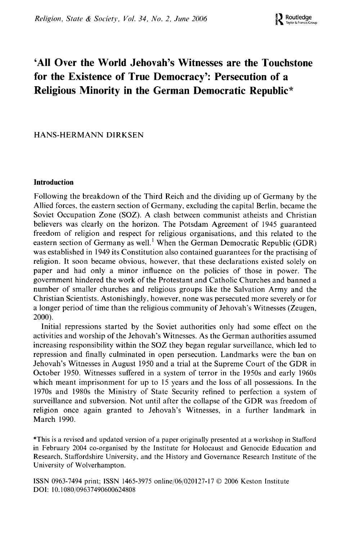# **'All Over the World Jehovah's Witnesses are the Touchstone for the Existence of True Democracy': Persecution of a Religious Minority in the German Democratic Repuhlic\***

# HANS-HERMANN DIRKSEN

#### **Introduction**

Following the breakdown of the Third Reich and the dividing up of Germany by the Allied forces, the eastern section of Germany, excluding the capital Berlin, became the Soviet Occupation Zone (SOZ). A clash between communist atheists and Christian believers was clearly on the horizon. The Potsdam Agreement of 1945 guaranteed freedom of religion and respect for religious organisations, and this related to the eastern section of Germany as well.<sup>1</sup> When the German Democratic Republic (GDR) was established in 1949 its Constitution also contained guarantees for the practising of religion. It soon became obvious, however, that these declarations existed solely on paper and had only a minor influence on the policies of those in power. The government hindered the work of the Protestant and Catholic Churches and banned a number of smaller churches and religious groups like the Salvation Army and the Christian Scientists. Astonishingly, however, none was persecuted more severely or for a longer period of time than the religious community of lehovah's Witnesses (Zeugen, 2000).

Initial repressions started by the Soviet authorities only had some effect on the activities and worship of the lehovah's Witnesses. As the German authorities assumed increasing responsibility within the SOZ they began regular surveillance, which led to repression and finally culminated in open persecution. Landmarks were the ban on lehovah's Witnesses in August 1950 and a trial at the Supreme Court of the GDR in October 1950. Witnesses suffered in a system of terror in the 1950s and early 1960s which meant imprisonment for up to 15 years and the loss of all possessions. **In** the 1970s and 1980s the Ministry of State Security refined to perfection a system of surveillance and subversion. Not until after the collapse of the GDR was freedom of religion once again granted to lehovah's Witnesses, in a further landmark in March 1990.

\*This is a revised and updated version of a paper originally presented at a workshop in Stafford in February 2004 co-organised by the Institute for Holocaust and Genocide Education and Research, Staffordshire University, and the History and Governance Research Institute of the University of Wolverhampton.

ISSN 0963-7494 print; ISSN 1465-3975 online/06/020127-17 © 2006 Keston Institute DOl: 10.1080/09637490600624808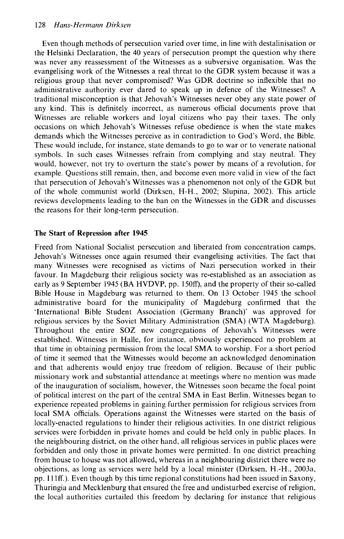Even though methods of persecution varied over time, in line with destalinisation or the Helsinki Declaration, the 40 years of persecution prompt the question why there was never any reassessment of the Witnesses as a subversive organisation. Was the evangelising work of the Witnesses a real threat to the GDR system because it was a religious group that never compromised? Was GDR doctrine so inflexible that no administrative authority ever dared to speak up in defence of the Witnesses? A traditional misconception is that lehovah's Witnesses never obey any state power of any kind. This is definitely incorrect, as numerous official documents prove that Witnesses are reliable workers and loyal citizens who pay their taxes. The only occasions on which lehovah's Witnesses refuse obedience is when the state makes demands which the Witnesses perceive as in contradiction to God's Word, the Bible. These would include, for instance, state demands to go to war or to venerate national symbols. In such cases Witnesses refrain from complying and stay neutral. They would, however, not try to overturn the state's power by means of a revolution, for example. Questions still remain, then, and become even more valid in view of the fact that persecution of lehovah's Witnesses was a phenomenon not only of the GDR but of the whole communist world (Dirksen, H-H., 2002; Slupina, 2002). This article reviews developments leading to the ban on the Witnesses in the GDR and discusses the reasons for their long-term persecution.

# The Start of Repression after 1945

Freed from National Socialist persecution and liberated from concentration camps, lehovah's Witnesses once again resumed their evangelising activities. The fact that many Witnesses were recognised as victims of Nazi persecution worked in their favour. In Magdeburg their religious society was re-established as an association as early as 9 September 1945 (BA HVDVP, pp. 150ft), and the property of their so-called Bible House in Magdeburg was returned to them. On 13 October 1945 the school administrative board for the municipality of Magdeburg confirmed that the 'International Bible Student Association (Germany Branch)' was approved for religious services by the Soviet Military Administration (SMA) (WTA Magdeburg). Throughout the entire SOZ new congregations of lehovah's Witnesses were established. Witnesses in Halle, for instance, obviously experienced no problem at that time in obtaining permission from the local SMA to worship. For a short period of time it seemed that the Witnesses would become an acknowledged denomination and that adherents would enjoy true freedom of religion. Because of their public missionary work and substantial attendance at meetings where no mention was made of the inauguration of socialism, however, the Witnesses soon became the focal point of political interest on the part of the central SMA in East Berlin. Witnesses began to experience repeated problems in gaining further permission for religious services from local SMA officials. Operations against the Witnesses were started on the basis of locally-enacted regulations to hinder their religious activities. In one district religious services were forbidden in private homes and could be held only in public places. In the neighbouring district, on the other hand, all religious services in public places were forbidden and only those in private homes were permitted. In one district preaching from house to house was not allowed, whereas in a neighbouring district there were no objections, as long as services were held by a local minister (Dirksen, H.-H., 2003a, pp. 111ff.). Even though by this time regional constitutions had been issued in Saxony, Thuringia and Mecklenburg that ensured the free and undisturbed exercise of religion, the local authorities curtailed this freedom by declaring for instance that religious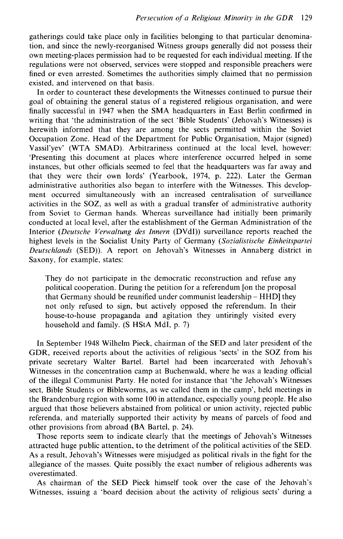gatherings could take place only in facilities belonging to that particular denomination, and since the newly-reorganised Witness groups generally did not possess their own meeting-places permission had to be requested for each individual meeting. If the regulations were not observed, services were stopped and responsible preachers were fined or even arrested. Sometimes the authorities simply claimed that no permission existed, and intervened on that basis.

In order to counteract these developments the Witnesses continued to pursue their goal of obtaining the general status of a registered religious organisation, and were finally successful in 1947 when the SMA headquarters in East Berlin confirmed in writing that 'the administration of the sect 'Bible Students' (Jehovah's Witnesses) is herewith informed that they are among the sects permitted within the Soviet Occupation Zone. Head of the Department for Public Organisation, Major (signed) Vassil'yev' (WTA SMAD). Arbitrariness continued at the local level, however: 'Presenting this document at places where interference occurred helped in some instances, but other officials seemed to feel that the headquarters was far away and that they were their own lords' (Yearbook, 1974, p. 222). Later the German administrative authorities also began to interfere with the Witnesses. This development occurred simultaneously with an increased centralisation of surveillance activities in the SOZ, as well as with a gradual transfer of administrative authority from Soviet to German hands. Whereas surveillance had initially been primarily conducted at local level, after the establishment of the German Administration of the Interior *(Deutsche Verwaltung des Innern* (DVdI) surveillance reports reached the highest levels in the Socialist Unity Party of Germany *(Sozialistische Einheitspartei Deutschlands* (SED». A report on lehovah's Witnesses in Annaberg district in Saxony, for example, states:

They do not participate in the democratic reconstruction and refuse any political cooperation. During the petition for a referendum [on the proposal that Germany should be reunified under communist leadership – HHD they not only refused to sign, but actively opposed the referendum. In their house-to-house propaganda and agitation they untiringly visited every household and family. (S HStA MdI, p. 7)

In September 1948 Wilhelm Pieck, chairman of the SED and later president of the GDR, received reports about the activities of religious 'sects' in the SOZ from his private secretary WaIter Bartel. Bartel had been incarcerated with lehovah's Witnesses in the concentration camp at Buchenwald, where he was a leading official of the illegal Communist Party. He noted for instance that 'the lehovah's Witnesses sect, Bible Students or Bibleworms, as we called them in the camp', held meetings in the Brandenburg region with some 100 in attendance, especially young people. He also argued that those believers abstained from political or union activity, rejected public referenda, and materially supported their activity by means of parcels of food and other provisions from abroad (BA Bartel, p. 24).

Those reports seem to indicate clearly that the meetings of lehovah's Witnesses attracted huge public attention, to the detriment of the political activities of the SED. As a result, lehovah's Witnesses were misjudged as political rivals in the fight for the allegiance of the masses. Quite possibly the exact number of religious adherents was overestimated.

As chairman of the SED Pieck himself took over the case of the lehovah's Witnesses, issuing a 'board decision about the activity of religious sects' during a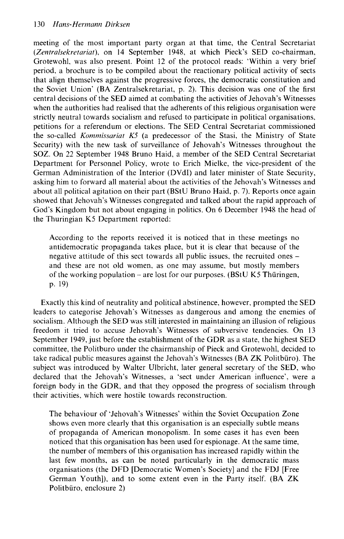meeting of the most important party organ at that time, the Central Secretariat *(Zentralsekretariat),* on 14 September 1948, at which Pieck's SED co-chairman, Grotewohl, was also present. Point 12 of the protocol reads: 'Within a very brief period, a brochure is to be compiled about the reactionary political activity of sects that align themselves against the progressive forces, the democratic constitution and the Soviet Union' (BA Zentralsekretariat, p. 2). This decision was one of the first central decisions of the SED aimed at combating the activities of Jehovah's Witnesses when the authorities had realised that the adherents of this religious organisation were strictly neutral towards socialism and refused to participate in political organisations, petitions for a referendum or elections. The SED Central Secretariat commissioned the so-called *Kommissariat K5* (a predecessor of the Stasi, the Ministry of State Security) with the new task of surveillance of Jehovah's Witnesses throughout the SOZ. On 22 September 1948 Bruno Haid, a member of the SED Central Secretariat Department for Personnel Policy, wrote to Erich Mielke, the vice-president of the German Administration of the Interior (DVdI) and later minister of State Security, asking him to forward all material about the activities of the Jehovah's Witnesses and about all political agitation on their part (BStU Bruno Haid, p. 7). Reports once again showed that Jehovah's Witnesses congregated and talked about the rapid approach of God's Kingdom but not about engaging in politics. On 6 December 1948 the head of the Thuringian K5 Department reported:

According to the reports received it is noticed that in these meetings no antidemocratic propaganda takes place, but it is clear that because of the negative attitude of this sect towards all public issues, the recruited ones and these are not old women, as one may assume, but mostly members of the working population – are lost for our purposes. (BStU K5 Thüringen, p. 19)

Exactly this kind of neutrality and political abstinence, however, prompted the SED leaders to categorise Jehovah's Witnesses as dangerous and among the enemies of socialism. Although the SED was still interested in maintaining an illusion of religious freedom it tried to accuse Jehovah's Witnesses of subversive tendencies. On 13 September 1949, just before the establishment of the GDR as a state, the highest SED committee, the Politburo under the chairmanship of Pieck and Grotewohl, decided to take radical public measures against the Jehovah's Witnesses (BA ZK Politburo). The subject was introduced by Waiter Ulbricht, later general secretary of the SED, who declared that the Jehovah's Witnesses, a 'sect under American influence', were a foreign body in the GDR, and that they opposed the progress of socialism through their activities, which were hostile towards reconstruction.

The behaviour of 'Jehovah's Witnesses' within the Soviet Occupation Zone shows even more clearly that this organisation is an especially subtle means of propaganda of American monopolism. In some cases it has even been noticed that this organisation has been used for espionage. At the same time, the number of members of this organisation has increased rapidly within the last few months, as can be noted particularly in the democratic mass organisations (the DFD [Democratic Women's Society] and the FDJ [Free German Youth]), and to some extent even in the Party itself. (BA ZK Politbüro, enclosure 2)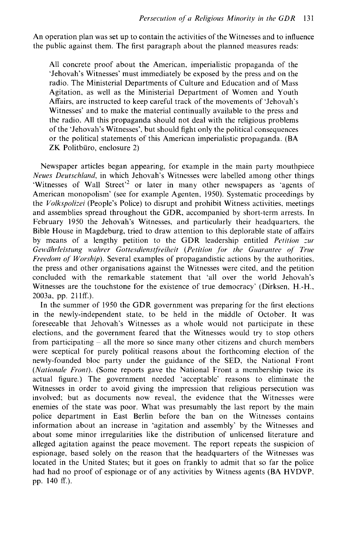An operation plan was set up to contain the activities of the Witnesses and to influence the public against them. The first paragraph about the planned measures reads:

All concrete proof about the American, imperialistic propaganda of the 'Jehovah's Witnesses' must immediately be exposed by the press and on the radio. The Ministerial Departments of Culture and Education and of Mass Agitation, as well as the Ministerial Department of Women and Youth Affairs, are instructed to keep careful track of the movements of 'Jehovah's Witnesses' and to make the material continually available to the press and the radio. All this propaganda should not deal with the religious problems of the 'Jehovah's Witnesses', but should fight only the political consequences or the political statements of this American imperialistic propaganda. (BA ZK Politbüro, enclosure 2)

Newspaper articles began appearing, for example in the main party mouthpiece *Neues Deutschland,* in which Jehovah's Witnesses were labelled among other things 'Witnesses of Wall Street'2 or later in many other newspapers as 'agents of American monopolism' (see for example Agenten, 1950). Systematic proceedings by the *Volkspolizei* (People's Police) to disrupt and prohibit Witness activities, meetings and assemblies spread throughout the GDR, accompanied by short-term arrests. **In**  February 1950 the Jehovah's Witnesses, and particularly their headquarters, the Bible House in Magdeburg, tried to draw attention to this deplorable state of affairs by means of a lengthy petition to the GDR leadership entitled *Petition :ur*  Gewährleistung wahrer Gottesdienstfreiheit (Petition for the Guarantee of True *Freedom of Worship).* Several examples of propagandistic actions by the authorities, the press and other organisations against the Witnesses were cited, and the petition concluded with the remarkable statement that 'all over the world Jehovah's Witnesses are the touchstone for the existence of true democracy' (Dirksen, H.-H., 2003a, pp. 211ff.).

**In** the summer of 1950 the GDR government was preparing for the first elections in the newly-independent state, to be held in the middle of October. It was foreseeable that Jehovah's Witnesses as a whole would not participate in these elections, and the government feared that the Witnesses would try to stop others from participating  $-$  all the more so since many other citizens and church members were sceptical for purely political reasons about the forthcoming election of the newly-founded bloc party under the guidance of the SED, the National Front *(Nationale Front).* (Some reports gave the National Front a membership twice its actual figure.) The government needed 'acceptable' reasons to eliminate the Witnesses in order to avoid giving the impression that religious persecution was involved; but as documents now reveal, the evidence that the Witnesses were enemies of the state was poor. What was presumably the last report by the main police department in East Berlin before the ban on the Witnesses contains information about an increase in 'agitation and assembly' by the Witnesses and about some minor irregularities like the distribution of unlicensed literature and alleged agitation against the peace movement. The report repeats the suspicion of espionage, based solely on the reason that the headquarters of the Witnesses was located in the United States; but it goes on frankly to admit that so far the police had had no proof of espionage or of any activities by Witness agents (BA HVDVP, pp. 140 ff.).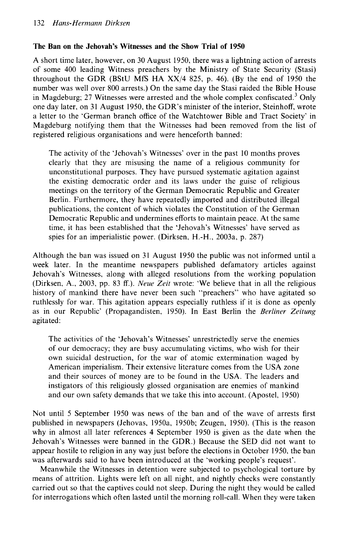# The Ban on the Jehovah's Witnesses and the Show Trial of 1950

A short time later, however, on 30 August 1950, there was a lightning action of arrests of some 400 leading Witness preachers by the Ministry of State Security (Stasi) throughout the GDR (BStU MfS HA XX/4 825, p. 46). (By the end of 1950 the number was well over 800 arrests.) On the same day the Stasi raided the Bible House in Magdeburg; 27 Witnesses were arrested and the whole complex confiscated.<sup>3</sup> Only one day later, on 31 August 1950, the GDR's minister of the interior, Steinhoff, wrote a letter to the 'German branch office of the Watchtower Bible and Tract Society' in Magdeburg notifying them that the Witnesses had been removed from the list of registered religious organisations and were henceforth banned:

The activity of the 'Jehovah's Witnesses' over in the past 10 months proves clearly that they are misusing the name of a religious community for unconstitutional purposes. They have pursued systematic agitation against the existing democratic order and its laws under the guise of religious meetings on the territory of the German Democratic Republic and Greater Berlin. Furthermore, they have repeatedly imported and distributed illegal publications, the content of which violates the Constitution of the German Democratic Republic and undermines efforts to maintain peace. At the same time, it has been established that the 'Jehovah's Witnesses' have served as spies for an imperialistic power. (Dirksen, H.-H., 2003a, p. 287)

Although the ban was issued on 31 August 1950 the public was not informed until a week later. In the meantime newspapers published defamatory articles against Jehovah's Witnesses, along with alleged resolutions from the working population (Dirksen, A., 2003, pp. 83 ff.). *Neue Zeit* wrote: 'We believe that in all the religious history of mankind there have never been such "preachers" who have agitated so ruthlessly for war. This agitation appears especially ruthless if it is done as openly as in our Republic' (Propagandisten, 1950). In East Berlin the *Berliner Zeitung*  agitated:

The activities of the 'Jehovah's Witnesses' unrestrictedly serve the enemies of our democracy; they are busy accumulating victims, who wish for their own suicidal destruction, for the war of atomic extermination waged by American imperialism. Their extensive literature comes from the USA zone and their sources of money are to be found in the USA. The leaders and instigators of this religiously glossed organisation are enemies of mankind and our own safety demands that we take this into account. (Apostel, 1950)

Not until 5 September 1950 was news of the ban and of the wave of arrests first published in newspapers (Jehovas, 1950a, 1950b; Zeugen, 1950). (This is the reason why in almost all later references 4 September 1950 is given as the date when the Jehovah's Witnesses were banned in the GDR.) Because the SED did not want to appear hostile to religion in any way just before the elections in October 1950, the ban was afterwards said to have been introduced at the 'working people's request'.

Meanwhile the Witnesses in detention were subjected to psychological torture by means of attrition. Lights were left on all night, and nightly checks were constantly carried out so that the captives could not sleep. During the night they would be called for interrogations which often lasted until the morning roll-call. When they were taken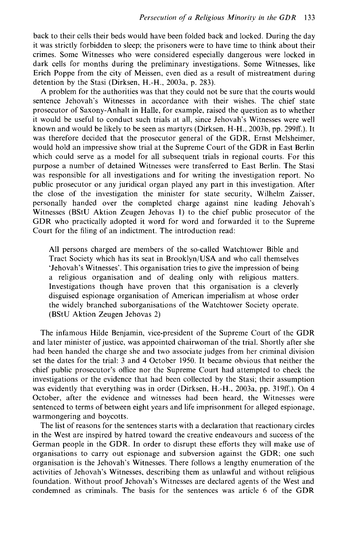back to their cells their beds would have been folded back and locked. During the day it was strictly forbidden to sleep; the prisoners were to have time to think about their crimes. Some Witnesses who were considered especially dangerous were locked in dark cells for months during the preliminary investigations. Some Witnesses, like Erich Poppe from the city of Meissen, even died as a result of mistreatment during detention by the Stasi (Dirksen, H.-H., 2003a, p. 283).

A problem for the authorities was that they could not be sure that the courts would sentence lehovah's Witnesses in accordance with their wishes. The chief state prosecutor of Saxony-Anhalt in Halle, for example, raised the question as to whether it would be useful to conduct such trials at all, since lehovah's Witnesses were well known and would be likely to be seen as martyrs (Dirksen, H-H., 2003b, pp. 299ff.). It was therefore decided that the prosecutor general of the GDR, Ernst Melsheimer, would hold an impressive show trial at the Supreme Court of the GDR in East Berlin which could serve as a model for all subsequent trials in regional courts. For this purpose a number of detained Witnesses were transferred to East Berlin. The Stasi was responsible for all investigations and for writing the investigation report. No public prosecutor or any juridical organ played any part in this investigation. After the close of the investigation the minister for state security, Wilhelm Zaisser, personally handed over the completed charge against nine leading lehovah's Witnesses (BStU Aktion Zeugen lehovas I) to the chief public prosecutor of the GDR who practically adopted it word for word and forwarded it to the Supreme Court for the filing of an indictment. The introduction read:

All persons charged are members of the so-called Watchtower Bible and Tract Society which has its seat in Brooklyn/USA and who call themselves 'lehovah's Witnesses'. This organisation tries to give the impression of being a religious organisation and of dealing only with religious matters. Investigations though have proven that this organisation is a cleverly disguised espionage organisation of American imperialism at whose order the widely branched suborganisations of the Watchtower Society operate. (BStU Aktion Zeugen lehovas 2)

The infamous Hilde Benjamin, vice-president of the Supreme Court of the GDR and later minister of justice, was appointed chairwoman of the trial. Shortly after she had been handed the charge she and two associate judges from her criminal division set the dates for the trial: 3 and 4 October 1950. It became obvious that neither the chief public prosecutor's office nor the Supreme Court had attempted to check the investigations or the evidence that had been collected by the Stasi; their assumption was evidently that everything was in order (Dirksen, H.-H., 2003a, pp. 319ff.). On 4 October, after the evidence and witnesses had been heard, the Witnesses were sentenced to terms of between eight years and life imprisonment for alleged espionage, warmongering and boycotts.

The list of reasons for the sentences starts with a declaration that reactionary circles in the West are inspired by hatred toward the creative endeavours and success of the German people in the GDR. In order to disrupt these efforts they will make use of organisations to carry out espionage and subversion against the GDR; one such organisation is the lehovah's Witnesses. There follows a lengthy enumeration of the activities of lehovah's Witnesses, describing them as unlawful and without religious foundation. Without proof lehovah's Witnesses are declared agents of the West and condemned as criminals. The basis for the sentences was article 6 of the GDR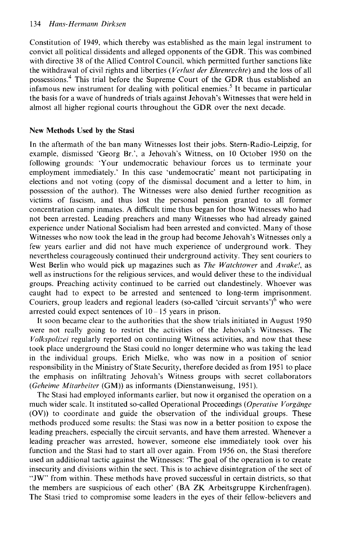Constitution of 1949, which thereby was established as the main legal instrument to convict all political dissidents and alleged opponents of the GDR. This was combined with directive 38 of the Allied Control Council, which permitted further sanctions like the withdrawal of civil rights and liberties *(Verlust der Ehrenrechte)* and the loss of all possessions.<sup>4</sup> This trial before the Supreme Court of the GDR thus established an infamous new instrument for dealing with political enemies.<sup>5</sup> It became in particular the basis for a wave of hundreds of trials against Jehovah's Witnesses that were held in almost all higher regional courts throughout the GDR over the next decade.

# New Methods Used by the Stasi

In the aftermath of the ban many Witnesses lost their jobs. Stern-Radio-Leipzig, for example, dismissed 'Georg Br.', a Jehovah's Witness, on 10 October 1950 on the following grounds: 'Your undemocratic behaviour forces us to terminate your employment immediately.' In this case 'undemocratic' meant not participating in elections and not voting (copy of the dismissal document and a letter to him, in possession of the author). The Witnesses were also denied further recognition as victims of fascism, and thus lost the personal pension granted to all former concentration camp inmates. A difficult time thus began for those Witnesses who had not been arrested. Leading preachers and many Witnesses who had already gained experience under National Socialism had been arrested and convicted. Many of those Witnesses who now took the lead in the group had become Jehovah's Witnesses only a few years earlier and did not have much experience of underground work. They nevertheless courageously continued their underground activity. They sent couriers to West Berlin who would pick up magazines such as *The Watchtower* and *Awake!,* as well as instructions for the religious services, and would deliver these to the individual groups. Preaching activity continued to be carried out clandestinely. Whoever was caught had to expect to be arrested and sentenced to long-term imprisonment. Couriers, group leaders and regional leaders (so-called 'circuit servants') $<sup>6</sup>$  who were</sup> arrested could expect sentences of  $10 - 15$  years in prison.

It soon became clear to the authorities that the show trials initiated in August 1950 were not really going to restrict the activities of the Jehovah's Witnesses. The *Volkspolizei* regularly reported on continuing Witness activities, and now that these took place underground the Stasi could no longer determine who was taking the lead in the individual groups. Erich Mielke, who was now in a position of senior responsibility in the Ministry of State Security, therefore decided as from 1951 to place the emphasis on infiltrating Jehovah's Witness groups with secret collaborators *(Geheime Mitarbeiter (GM))* as informants *(Dienstanweisung, 1951).* 

The Stasi had employed informants earlier, but now it organised the operation on a much wider scale. It instituted so-called Operational Proceedings *(Operative Vorgange*  (OV» to coordinate and guide the observation of the individual groups. These methods produced some results: the Stasi was now in a better position to expose the leading preachers, especially the circuit servants, and have them arrested. Whenever a leading preacher was arrested, however, someone else immediately took over his function and the Stasi had to start all over again. From 1956 on, the Stasi therefore used an additional tactic against the Witnesses: 'The goal of the operation is to create insecurity and divisions within the sect. This is to achieve disintegration of the sect of "JW" from within. These methods have proved successful in certain districts, so that the members are suspicious of each other' (BA ZK Arbeitsgruppe Kirchenfragen). The Stasi tried to compromise some leaders in the eyes of their fellow-believers and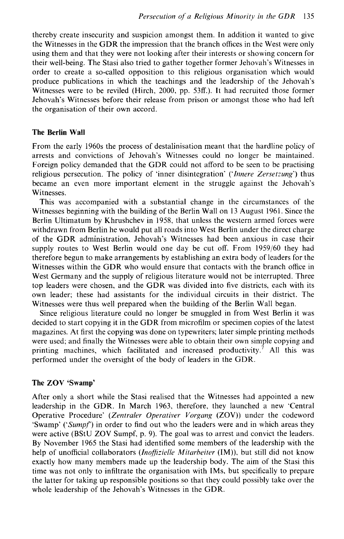thereby create insecurity and suspicion amongst them. In addition it wanted to give the Witnesses in the GDR the impression that the branch offices in the West were only using them and that they were not looking after their interests or showing concern for their well-being. The Stasi also tried to gather together former lehovah's Witnesses in order to create a so-called opposition to this religious organisation which would produce publications in which the teachings and the leadership of the lehovah's Witnesses were to be reviled (Hirch, 2000, pp. 53ff.). It had recruited those former lehovah's Witnesses before their release from prison or amongst those who had left the organisation of their own accord.

## The **Berlin** Wall

From the early 1960s the process of destalinisation meant that the hardline policy of arrests and convictions of lehovah's Witnesses could no longer be maintained. Foreign policy demanded that the GDR could not afford to be seen to be practising religious persecution. The policy of 'inner disintegration' *('Innere Zersetzung')* thus became an even more important element in the struggle against the lehovah's Witnesses.

This was accompanied with a substantial change in the circumstances of the Witnesses beginning with the building of the Berlin Wall on 13 August 1961. Since the Berlin Ultimatum by Khrushchev in 1958, that unless the western armed forces were withdrawn from Berlin he would put all roads into West Berlin under the direct charge of the GDR administration, lehovah's Witnesses had been anxious in case their supply routes to West Berlin would one day be cut off. From 1959/60 they had therefore begun to make arrangements by establishing an extra body of leaders for the Witnesses within the GDR who would ensure that contacts with the branch office in West Germany and the supply of religious literature would not be interrupted. Three top leaders were chosen, and the GDR was divided into five districts, each with its own leader; these had assistants for the individual circuits in their district. The Witnesses were thus well prepared when the building of the Berlin Wall began.

Since religious literature could no longer be smuggled in from West Berlin it was decided to start copying it in the GDR from microfilm or specimen copies of the latest magazines. At first the copying was done on typewriters; later simple printing methods were used; and finally the Witnesses were able to obtain their own simple copying and printing machines, which facilitated and increased productivity.<sup>7</sup> All this was performed under the oversight of the body of leaders in the GDR.

## The ZOV 'Swamp'

After only a short while the Stasi realised that the Witnesses had appointed a new leadership in the GDR. In March 1963, therefore, they launched a new 'Central Operative Procedure' *(Zentraler Operativer Vorgang* (ZOV)) under the codeword 'Swamp' *('Sumpf)* in order to find out who the leaders were and in which areas they were active (BStU ZOV Sumpf, p. 9). The goal was to arrest and convict the leaders. By November 1965 the Stasi had identified some members of the leadership with the help of unofficial collaborators *(lnofjizielle M itarheiter* (IM)), but still did not know exactly how many members made up the leadership body. The aim of the Stasi this time was not only to infiltrate the organisation with IMs, but specifically to prepare the latter for taking up responsible positions so that they could possibly take over the whole leadership of the lehovah's Witnesses in the GDR.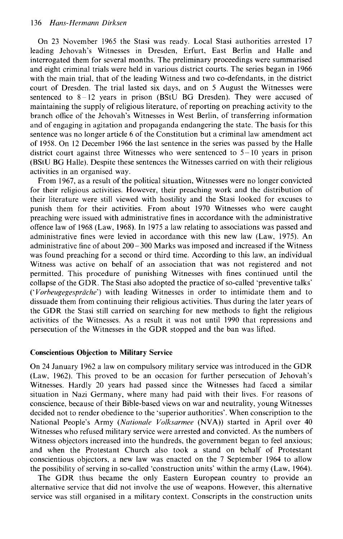On 23 November 1965 the Stasi was ready. Local Stasi authorities arrested 17 leading Jehovah's Witnesses in Dresden, Erfurt, East Berlin and Halle and interrogated them for several months. The preliminary proceedings were summarised and eight criminal trials were held in various district courts. The series began in 1966 with the main trial, that of the leading Witness and two co-defendants, in the district court of Dresden. The trial lasted six days, and on 5 August the Witnesses were sentenced to  $8-12$  years in prison (BStU BG Dresden). They were accused of maintaining the supply of religious literature, of reporting on preaching activity to the branch office of the Jehovah's Witnesses in West Berlin, of transferring information and of engaging in agitation and propaganda endangering the state. The basis for this sentence was no longer article 6 of the Constitution but a criminal law amendment act of 1958. On 12 December 1966 the last sentence in the series was passed by the Halle district court against three Witnesses who were sentenced to  $5 - 10$  years in prison (BStU BG Halle). Despite these sentences the Witnesses carried on with their religious activities in an organised way.

From 1967, as a result of the political situation, Witnesses were no longer convicted for their religious activities. However, their preaching work and the distribution of their literature were still viewed with hostility and the Stasi looked for excuses to punish them for their activities. From about 1970 Witnesses who were caught preaching were issued with administrative fines in accordance with the administrative offence law of 1968 (Law, 1968). **In** 1975 a law relating to associations was passed and administrative fines were levied in accordance with this new law (Law, 1975). An administrative fine of about  $200 - 300$  Marks was imposed and increased if the Witness was found preaching for a second or third time. According to this law, an individual Witness was active on behalf of an association that was not registered and not permitted. This procedure of punishing Witnesses with fines continued until the collapse of the GDR. The Stasi also adopted the practice of so-called 'preventive talks' (' *Vorheugegesprache')* with leading Witnesses in order to intimidate them and to dissuade them from continuing their religious activities. Thus during the later years of the GDR the Stasi still carried on searching for new methods to fight the religious activities of the Witnesses. As a result it was not until 1990 that repressions and persecution of the Witnesses in the GDR stopped and the ban was lifted.

## **Conscientious Objection to Military Service**

On 24 January 1962 a law on compulsory military service was introduced in the GDR (Law, 1962). This proved to be an occasion for further persecution of Jehovah's Witnesses. Hardly 20 years had passed since the Witnesses had faced a similar situation in Nazi Germany, where many had paid with their lives. For reasons of conscience, because of their Bible-based views on war and neutrality, young Witnesses decided not to render obedience to the 'superior authorities'. When conscription to the National People's Army *(Nationale Volksarmee* (NVA)) started in April over 40 Witnesses who refused military service were arrested and convicted. As the numbers of Witness objectors increased into the hundreds, the government began to feel anxious; and when the Protestant Church also took a stand on behalf of Protestant conscientious objectors, a new law was enacted on the 7 September 1964 to allow the possibility of serving in so-called 'construction units' within the army (Law, 1964).

The GDR thus became the only Eastern European country to provide an alternative service that did not involve the use of weapons. However, this alternative service was still organised in a military context. Conscripts in the construction units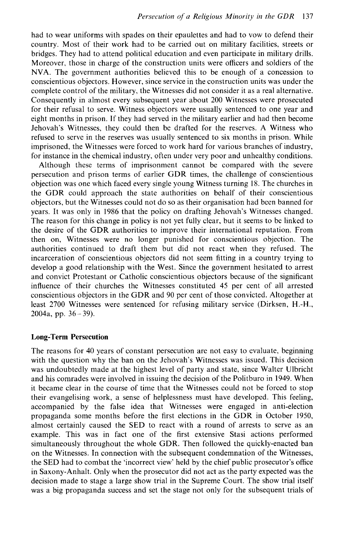had to wear uniforms with spades on their epaulettes and had to vow to defend their country. Most of their work had to be carried out on military facilities, streets or bridges. They had to attend political education and even participate in military drills. Moreover, those in charge of the construction units were officers and soldiers of the NV A. The government authorities believed this to be enough of a concession to conscientious objectors. However, since service in the construction units was under the complete control of the military, the Witnesses did not consider it as a real alternative. Consequently in almost every subsequent year about 200 Witnesses were prosecuted for their refusal to serve. Witness objectors were usually sentenced to one year and eight months in prison. **If** they had served in the military earlier and had then become Jehovah's Witnesses, they could then be drafted for the reserves. A Witness who refused to serve in the reserves was usually sentenced to six months in prison. While imprisoned, the Witnesses were forced to work hard for various branches of industry, for instance in the chemical industry, often under very poor and unhealthy conditions.

Although these terms of imprisonment cannot be compared with the severe persecution and prison terms of earlier GDR times, the challenge of conscientious objection was one which faced every single young Witness turning 18. The churches in the GDR could approach the state authorities on behalf of their conscientious objectors, but the Witnesses could not do so as their organisation had been banned for years. It was only in 1986 that the policy on drafting Jehovah's Witnesses changed. The reason for this change in policy is not yet fully clear, but it seems to be linked to the desire of the GDR authorities to improve their international reputation. From then on, Witnesses were no longer punished for conscientious objection. The authorities continued to draft them but did not react when they refused. The incarceration of conscientious objectors did not seem fitting in a country trying to develop a good relationship with the West. Since the government hesitated to arrest and convict Protestant or Catholic conscientious objectors because of the significant influence of their churches the Witnesses constituted 45 per cent of all arrested conscientious objectors in the GDR and 90 per cent of those convicted. Altogether at least 2700 Witnesses were sentenced for refusing military service (Dirksen, H.-H., 2004a, pp.  $36 - 39$ ).

## **Long-Term Persecution**

The reasons for 40 years of constant persecution are not easy to evaluate, beginning with the question why the ban on the Jehovah's Witnesses was issued. This decision was undoubtedly made at the highest level of party and state, since Waiter Ulbricht and his comrades were involved in issuing the decision of the Politburo in 1949. When it became clear in the course of time that the Witnesses could not be forced to stop their evangelising work, a sense of helplessness must have developed. This feeling, accompanied by the false idea that Witnesses were engaged in anti-election propaganda some months before the first elections in the GDR in October 1950, almost certainly caused the SED to react with a round of arrests to serve as an example. This was in fact one of the first extensive Stasi actions performed simultaneously throughout the whole GDR. Then followed the quickly-enacted ban on the Witnesses. **In** connection with the subsequent condemnation of the Witnesses, the SED had to combat the 'incorrect view' held by the chief public prosecutor's office in Saxony-Anhalt. Only when the prosecutor did not act as the party expected was the decision made to stage a large show trial in the Supreme Court. The show trial itself was a big propaganda success and set the stage not only for the subsequent trials of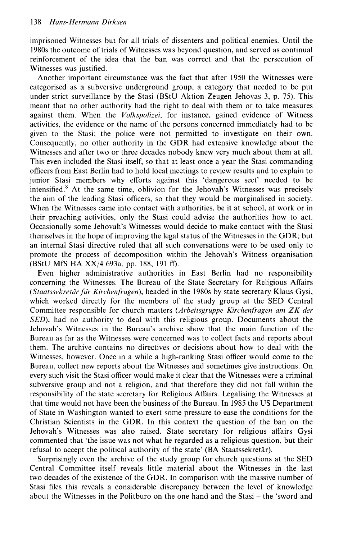imprisoned Witnesses but for all trials of dissenters and political enemies. Until the 1980s the outcome of trials of Witnesses was beyond question, and served as continual reinforcement of the idea that the ban was correct and that the persecution of Witnesses was justified.

Another important circumstance was the fact that after 1950 the Witnesses were categorised as a subversive underground group, a category that needed to be put under strict surveillance by the Stasi (BStU Aktion Zeugen lehovas 3, p. 75). This meant that no other authority had the right to deal with them or to take measures against them. When the *Volkspolizei,* for instance, gained evidence of Witness activities, the evidence or the name of the persons concerned immediately had to be given to the Stasi; the police were not permitted to investigate on their own. Consequently, no other authority in the GDR had extensive knowledge about the Witnesses and after two or three decades nobody knew very much about them at all. This even included the Stasi itself, so that at least once a year the Stasi commanding officers from East Berlin had to hold local meetings to review results and to explain to junior Stasi members why efforts against this 'dangerous sect' needed to be intensified. $s$  At the same time, oblivion for the Jehovah's Witnesses was precisely the aim of the leading Stasi officers, so that they would be marginalised in society. When the Witnesses came into contact with authorities, be it at school, at work or in their preaching activities, only the Stasi could advise the authorities how to act. Occasionally some lehovah's Witnesses would decide to make contact with the Stasi themselves in the hope of improving the legal status of the Witnesses in the GDR; but an internal Stasi directive ruled that all such conversations were to be used only to promote the process of decomposition within the lehovah's Witness organisation (BStU MfS HA XX/4 693a, pp. 188, 191 ff).

Even higher administrative authorities in East Berlin had no responsibility concerning the Witnesses. The Bureau of the State Secretary for Religious Affairs (Staatssekretär für Kirchenfragen), headed in the 1980s by state secretary Klaus Gysi, which worked directly for the members of the study group at the SED Central Committee responsible for church matters *(Arheitsgruppe Kirchen{ragen am ZK der SED),* had no authority to deal with this religious group. Documents about the lehovah's Witnesses in the Bureau's archive show that the main function of the Bureau as far as the Witnesses were concerned was to collect facts and reports about them. The archive contains no directives or decisions about how to deal with the Witnesses, however. Once in a while a high-ranking Stasi officer would come to the Bureau, collect new reports about the Witnesses and sometimes give instructions. On every such visit the Stasi officer would make it clear that the Witnesses were a criminal subversive group and not a religion, and that therefore they did not fall within the responsibility of the state secretary for Religious Affairs. Legalising the Witnesses at that time would not have been the business of the Bureau. In 1985 the US Department of State in Washington wanted to exert some pressure to ease the conditions for the Christian Scientists in the GDR. In this context the question of the ban on the lehovah's Witnesses was also raised. State secretary for religious affairs Gysi commented that 'the issue was not what he regarded as a religious question, but their refusal to accept the political authority of the state' (BA Staatssekretär).

Surprisingly even the archive of the study group for church questions at the SED Central Committee itself reveals little material about the Witnesses in the last two decades of the existence of the GDR. In comparison with the massive number of Stasi files this reveals a considerable discrepancy between the level of knowledge about the Witnesses in the Politburo on the one hand and the Stasi - the 'sword and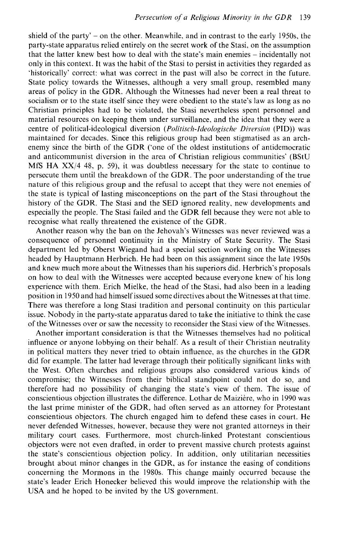shield of the party' - on the other. Meanwhile, and in contrast to the early 1950s, the party-state apparatus relied entirely on the secret work of the Stasi, on the assumption that the latter knew best how to deal with the state's main enemies - incidentally not only in this context. It was the habit of the Stasi to persist in activities they regarded as "historically' correct: what was correct in the past will also be correct in the future. State policy towards the Witnesses, although a very small group, resembled many areas of policy in the GDR. Although the Witnesses had never been a real threat to socialism or to the state itself since they were obedient to the state's law as long as no Christian principles had to be violated, the Stasi nevertheless spent personnel and material resources on keeping them under surveillance, and the idea that they were a centre of political-ideological diversion *(Politisch-Ideologische Diversion* (PID)) was maintained for decades. Since this religious group had been stigmatised as an archenemy since the birth of the GDR ('one of the oldest institutions of antidemocratic and anticommunist diversion in the area of Christian religious communities' (BStU MfS HA  $XX/4$  48, p. 59), it was doubtless necessary for the state to continue to persecute them until the breakdown of the GDR. The poor understanding of the true nature of this religious group and the refusal to accept that they were not enemies of the state is typical of lasting misconceptions on the part of the Stasi throughout the history of the GDR. The Stasi and the SED ignored reality, new developments and especially the people. The Stasi failed and the GDR fell because they were not able to recognise what really threatened the existence of the GDR.

Another reason why the ban on the lehovah's Witnesses was never reviewed was a consequence of personnel continuity in the Ministry of State Security. The Stasi department led by Oberst Wiegand had a special section working on the Witnesses headed by Hauptmann Herbrich. He had been on this assignment since the late 1950s and knew much more about the Witnesses than his superiors did. Herbrich's proposals on how to deal with the Witnesses were accepted because everyone knew of his long experience with them. Erich Mielke, the head of the Stasi, had also been in a leading position in 1950 and had himself issued some directives about the Witnesses at that time. There was therefore a long Stasi tradition and personal continuity on this particular issue. Nobody in the party-state apparatus dared to take the initiative to think the case of the Witnesses over or saw the necessity to reconsider the Stasi view of the Witnesses.

Another important consideration is that the Witnesses themselves had no political influence or anyone lobbying on their behalf. As a result of their Christian neutrality in political matters they never tried to obtain influence, as the churches in the GDR did for example. The latter had leverage through their politically significant links with the West. Often churches and religious groups also considered various kinds of compromise; the Witnesses from their biblical standpoint could not do so, and therefore had no possibility of changing the state's view of them. The issue of conscientious objection illustrates the difference. Lothar de Maiziere, who in 1990 was the last prime minister of the GDR, had often served as an attorney for Protestant conscientious objectors. The church engaged him to defend these cases in court. He never defended Witnesses, however, because they were not granted attorneys in their military court cases. Furthermore, most church-linked Protestant conscientious objectors were not even drafted, in order to prevent massive church protests against the state's conscientious objection policy. In addition, only utilitarian necessities brought about minor changes in the GDR, as for instance the easing of conditions concerning the Mormons in the 1980s. This change mainly occurred because the state's leader Erich Honecker believed this would improve the relationship with the USA and he hoped to be invited by the US government.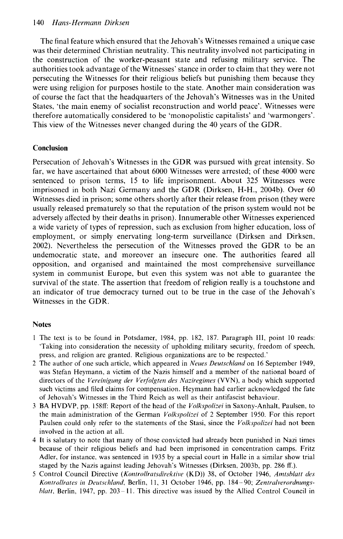# *140 Hans-Hermann Dirksen*

The final feature which ensured that the lehovah's Witnesses remained a unique case was their determined Christian neutrality. This neutrality involved not participating in the construction of the worker-peasant state and refusing military service. The authorities took advantage of the Witnesses' stance in order to claim that they were not persecuting the Witnesses for their religious beliefs but punishing them because they were using religion for purposes hostile to the state. Another main consideration was of course the fact that the headquarters of the lehovah's Witnesses was in the United States, 'the main enemy of socialist reconstruction and world peace'. Witnesses were therefore automatically considered to be 'monopolistic capitalists' and 'warmongers'. This view of the Witnesses never changed during the 40 years of the GDR.

# **Conclusion**

Persecution of lehovah's Witnesses in the GDR was pursued with great intensity. So far, we have ascertained that about 6000 Witnesses were arrested; of these 4000 were sentenced to prison terms, 15 to life imprisonment. About 325 Witnesses were imprisoned in both Nazi Germany and the GDR (Dirksen, H-H., 2004b). Over 60 Witnesses died in prison; some others shortly after their release from prison (they were usually released prematurely so that the reputation of the prison system would not be adversely affected by their deaths in prison). Innumerable other Witnesses experienced a wide variety of types of repression, such as exclusion from higher education, loss of employment, or simply enervating long-term surveillance (Dirksen and Dirksen, 2002). Nevertheless the persecution of the Witnesses proved the GDR to be an undemocratic state, and moreover an insecure one. The authorities feared all opposition, and organised and maintained the most comprehensive surveillance system in communist Europe, but even this system was not able to guarantee the survival of the state. The assertion that freedom of religion really is a touchstone and an indicator of true democracy turned out to be true in the case of the lehovah's Witnesses in the GDR.

## **Notes**

- The text is to be found in Potsdamer, 1984, pp. 182, 187. Paragraph Ill, point 10 reads: Taking into consideration the necessity of upholding military security, freedom of speech, press, and religion are granted. Religious organizations are to be respected.'
- 2 The author of one such article, which appeared in *Neues Deutschland* on 16 September 1949, was Stefan Heymann, a victim of the Nazis himself and a member of the national board of directors of the *Vereinigung der Verfolgten des Naziregimes* (VVN), a body which supported such victims and filed claims for compensation. Heymann had earlier acknowledged the fate of lehovah's Witnesses in the Third Reich as well as their antifascist behaviour.
- 3 BA HVDVP, pp. I 581f: Report of the head of the *Volkspoli::ei* in Saxony-An halt, Paulsen, to the main administration of the German *Volkspolizei* of 2 September 1950. For this report Paulsen could only refer to the statements of the Stasi, since the *Volkspolizei* had not been involved in the action at all.
- 4 It is salutary to note that many of those convicted had already been punished in Nazi times because of their religious beliefs and had been imprisoned in concentration camps. Fritz Adler, for instance, was sentenced in 1935 by a special court in Halle in a similar show trial staged by the Nazis against leading Jehovah's Witnesses (Dirksen, 2003b, pp. 286 ff.).
- 5 Control Council Directive *(Kontrollratsdirektive* (KD)) 38, of October 1946, *Amtsblatt des Kontrollrates in Deutschland,* Berlin, 11,31 October 1946, pp. 184~90; *Zentralverordnungsblatt*, Berlin, 1947, pp. 203 – 11. This directive was issued by the Allied Control Council in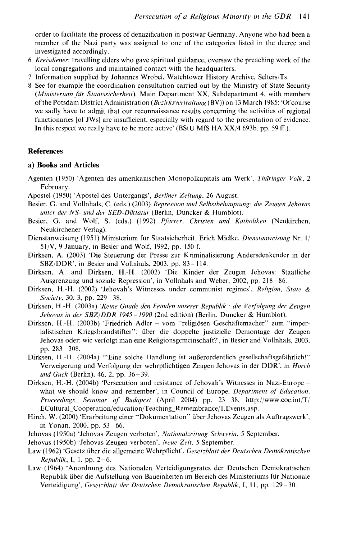order to facilitate the process of denazification in postwar Germany. Anyone who had been a member of the Nazi party was assigned to one of the categories listed in the decree and investigated accordingly.

- *6 Kreisdiener:* travelling elders who gave spiritual guidance, oversaw the preaching work of the local congregations and maintained contact with the headquarters.
- 7 Information supplied by 10hannes Wrobel, Watchtower History Archive, Selters/Ts.
- 8 See for example the coordination consultation carried out by the Ministry of State Security *(Ministerium fur Staatssicherheit),* Main Department XX, Subdepartment 4, with members of the Potsdam District Administration *(Bezirksvent'altung* (BV)) on 13 March 1985: "Of course we sadly have to admit that our reconnaissance results concerning the activities of regional functionaries [of 1Ws] are insufficient, especially with regard to the presentation of evidence. In this respect we really have to be more active' (BStU MfS HA  $XX/4$  693b, pp. 59 ff.).

## References

#### a) Books **and** Articles

- Agenten (1950) 'Agenten des amerikanischen Monopolkapitals am Werk', *Thiiringer Volk, 2*  February.
- Apostel (1950) 'Apostel des Untergangs', *Berliner Zeitung,* 26 August.
- Besier, G. and Vollnhals, C. (eds.) (2003) *Repression und Selbstbehauptung: die Zeugen Jehovas unter der NS- und der SED-Diktatur* (Berlin, Duncker & Humblot).
- Besier, G. and Wolf, S. (eds.) (1992) *Pfarrer, Christen und Katholiken* (Neukirchen, Neukirchener Verlag).
- Dienstanweisung (1951) Ministerium fiir Staatsicherheit, Erich Mielke, *Dienstamreisung* Nr. 1/  $51/V$ , 9 January, in Besier and Wolf, 1992, pp. 150 f.
- Dirksen, A. (2003) "Die Steuerung der Presse zur Kriminalisierung Andersdenkender in der SBZ/DDR', in Besier and Vollnhals, 2003, pp. 83-114.
- Dirksen, A. and Dirksen, H.-H. (2002) 'Die Kinder der Zeugen 1ehovas: Staatliche Ausgrenzung und soziale Repression', in Vollnhals and Weber, 2002, pp. 218-86.
- Dirksen, H.-H. (2002) "1ehovah's Witnesses under communist regimes', *Religion, State* & *Society,* 30, 3, pp. 229 - 38.
- Dirksen, H.-H. (2003a) *'Keine Gnade den Feinden unserer Republik* ': *die Ver/olgung der Zeugen lehovas in der SBZ/ DDR* 1945 *-1990* (2nd edition) (Berlin, Duncker & Humblot).
- Dirksen, H.-H. (2003b) 'Friedrich Adler vom "religiösen Geschäftemacher" zum "imperialistischen Kriegsbrandstifter": iiber die doppelte justizielle Demontage der Zeugen Jehovas oder: wie verfolgt man eine Religionsgemeinschaft?', in Besier and Vollnhals, 2003, pp. 283 - 308.
- Dirksen, H.-H. (2004a) "'Eine solche Handlung ist außerordentlich gesellschaftsgefährlich!'' Verweigerung und Verfolgung der wehrpfiichtigen Zeugen Jehovas in der DDR', in *Horch und Guck* (Berlin), 46, 2, pp. 36-39.
- Dirksen, H.-H. (2004b) 'Persecution and resistance of 1ehovah's Witnesses in Nazi-Europe what we should know and remember', in Council of Europe, *Department of Education*, *Proceedings, Seminar of Budapest* (April 2004) pp. 23 - 38, http://www.coe.int/T/ ECultural Cooperation/education/Teaching Remembrance/1. Events.asp.
- Hirch, W. (2000) 'Erarbeitung einer "Dokumentation" iiber 1ehovas Zeugen als Auftragswerk', in Y onan, 2000, pp. 53 - 66.
- 1ehovas .(I 950a) "Jehovas Zeugen verboten', *Nationalzeitung Sclmwin,* 5 September.
- Jehovas (1950b) "1ehovas Zeugen verboten', *Neue Zeit,* 5 September.
- Law (1962) "Gesetz iiber die allgemeine Wehrpfiicht', *Gesetzblatt der Deutschen Demokratischen Repuhlik,* I, I, pp. 2-6.
- Law (1964) "Anordnung des Nationalen Verteidigungsrates der Deutschen Demokratischen Republik über die Aufstellung von Baueinheiten im Bereich des Ministeriums für Nationale Verteidigung', *Gesetzblatt der Deutschen Demokratischen Republik,* I, 11, pp. 129-30.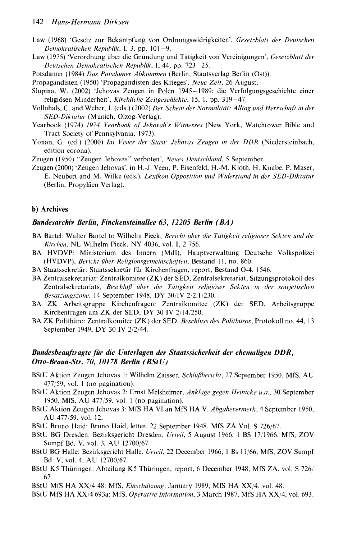- Law (1968) 'Gesetz zur Bekampfung von Ordnungswidrigkeiten', *Gesetzblatt der Deutschen Demokratischen Republik,* I, 3, pp. 101-9.
- Law (1975) 'Verordnung über die Gründung und Tätigkeit von Vereinigungen', *Gesetzblatt der Delltschen Demokratischen Republik,* I. 44, pp. 723 - 25.
- Potsdamer (1984) *Das Potsdamer Abkommen* (Berlin, Staatsverlag Berlin (Ost)).
- Propagandisten (1950) 'Propagandisten des Krieges', *Neue Zeit,* 26 August.
- Slupina, W. (2002) 'lehovas Zeugen in Polen 1945 1989: die Verfolgungsgeschichte einer religi6sen Minderheit', *Kirch/iche Zeitgeschichte,* 15, I, pp. 319-47.
- Vollnhals, C. and Weber, 1. (eds.) (2002) *Der Schein der Normalitiit: Alltag und Herrscha/i in der SED-Diktatur* (Munich, Olzog-Verlag).
- Yearbook (1974) 1974 *Yearbook of'lehovah's Witnesses* (New York, Watchtower Bible and Tract Society of Pennsylvania, 1973).
- Yonan, G. (ed.) (2000) *Im Visier der Stasi: Jehovas Zeugen in der DDR* (Niedersteinbach, edition corona).
- Zeugen (1950) "Zeugen lehovas" verboten', *Neues Deutsch/and,* 5 September.
- Zeugen (2000) 'Zeugen lehovas', in H.-l. Veen, P. Eisenfeld, H.-M. Kloth, H. Knabe, P. Maser, E. Neubert and M. Wilke (eds.), *Lexikon Opposition und Widerstand in der SED-Diktatur*  (Berlin, Propylaen Verlag).

#### b) Archives

#### *Bundesarchiv Berlin, Finckensteinallee* 63, *12205 Berlin (BA)*

- BA Bartel: Walter Bartel to Wilhelm Pieck, *Bericht über die Tätigkeit religiöser Sekten und die Kirchen,* NL Wilhelm Pieck, NY 4036, vo!. I, 2 756.
- BA HVDVP: Ministerium des Innern (MdI), Hauptverwaltung Deutsche Volkspolizei (HVDVP), *Bericht iiber Religionsgemeinscha/ien,* Bestand 11. no. 860.
- BA Staatssekretär: Staatssekretär für Kirchenfragen, report, Bestand O-4, 1546.
- BA Zentralsekretariat: Zentralkomitee (ZK) der SED, Zentralsekretariat, Sitzungsprotokoll des Zentralsekretariats, *Beschluß über die Tätigkeit religiöser Sekten in der sowjetischen Besat::ungs::one,* 14 September 1948, DY 30/IV 2/2.1/230.
- BA ZK Arbeitsgruppe Kirchenfragen: Zentralkomitee (ZK) der SED, Arbeitsgruppe Kirchenfragen am ZK der SED, DY 30 IV 2/14/250.
- BA ZK Politbüro: Zentralkomitee (ZK) der SED, *Beschluss des Politbüros*, Protokoll no. 44, 13 September 1949, DY 30 IV 2/2/44.

## *Bundesheauftragte fur die Unterlagen der Staatssicherheit der ehemaligen DDR, Otto-Braun-Str. 70, 10178 Berlin (BStU)*

- BStU Aktion Zeugen lehovas I: Wilhelm Zaisser, *Schlll/ihericht,* 27 September 1950, MfS, AU 477/59, vol. 1 (no pagination).
- BStU Aktion Zeugen lehovas 2: Ernst Melsheimer, *Anklage gegen Heinicke u.a.,* 30 September 1950, MfS, AU 477/59, vo!. I (no pagination).
- BStU Aktion Zeugen Jehovas 3: MfS HA VI an MfS HA V, *Abgabevermerk*, 4 September 1950, AU 477/59, vo!. 12.
- BStU Bruno Haid: Bruno Haid, letter, 22 September 1948, MfS ZA Vol. S 726/67.
- BStU BG Dresden: Bezirksgericht Dresden, *Urteil,* 5 August 1966, I BS 17/1966, MfS, ZOV Sumpf Bd. V, vo!. 3, AU 12700/67.
- BStU BG Halle: Bezirksgericht Halle, *Urteil,* 22 December 1966, I Bs 11/66, MfS, ZOV Sumpf Bd. V, vo!. 4, AU 12700/67.
- BStU K5 Thüringen: Abteilung K5 Thüringen, report, 6 December 1948, MfS ZA, vol. S 726/ 67.
- BStU MfS HA XX/4 48: MfS, *Einschiit::ung,* lanuary 1989, MfS HA XX/4, vo!. 48.
- BStU MfS HA XX/4 693a: MfS, Operative Information, 3 March 1987, MfS HA XX/4, vol. 693.